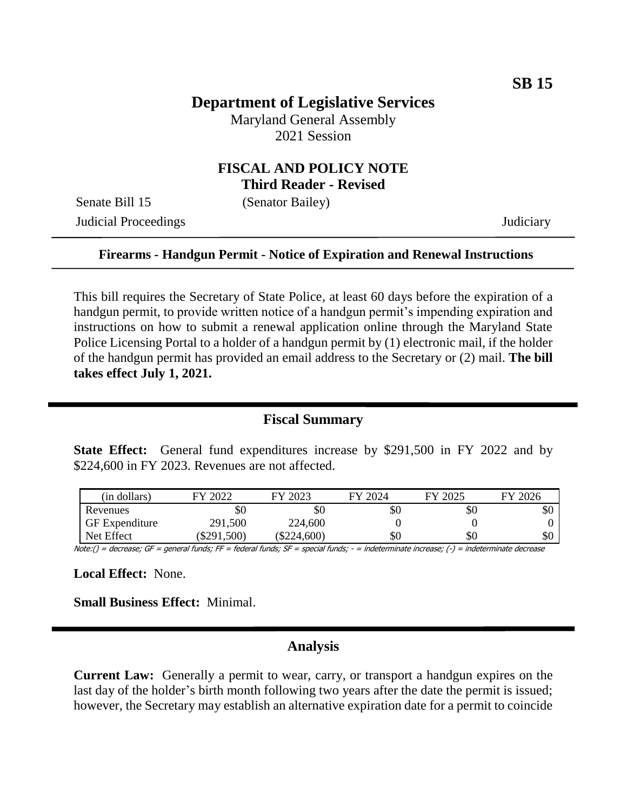## **Department of Legislative Services**

Maryland General Assembly 2021 Session

### **FISCAL AND POLICY NOTE Third Reader - Revised**

Senate Bill 15 (Senator Bailey)

Judicial Proceedings Judiciary

#### **Firearms - Handgun Permit - Notice of Expiration and Renewal Instructions**

This bill requires the Secretary of State Police, at least 60 days before the expiration of a handgun permit, to provide written notice of a handgun permit's impending expiration and instructions on how to submit a renewal application online through the Maryland State Police Licensing Portal to a holder of a handgun permit by (1) electronic mail, if the holder of the handgun permit has provided an email address to the Secretary or (2) mail. **The bill takes effect July 1, 2021.**

### **Fiscal Summary**

**State Effect:** General fund expenditures increase by \$291,500 in FY 2022 and by \$224,600 in FY 2023. Revenues are not affected.

| (in dollars)          | FY 2022   | FY 2023       | FY 2024 | FY 2025 | FY 2026 |
|-----------------------|-----------|---------------|---------|---------|---------|
| Revenues              | \$0       | \$0           | \$0     | \$0     | \$0     |
| <b>GF</b> Expenditure | 291,500   | 224,600       |         |         |         |
| Net Effect            | \$291,500 | $(\$224,600)$ | \$0     | \$0     | \$0     |

Note:() = decrease; GF = general funds; FF = federal funds; SF = special funds; - = indeterminate increase; (-) = indeterminate decrease

**Local Effect:** None.

**Small Business Effect:** Minimal.

#### **Analysis**

**Current Law:** Generally a permit to wear, carry, or transport a handgun expires on the last day of the holder's birth month following two years after the date the permit is issued; however, the Secretary may establish an alternative expiration date for a permit to coincide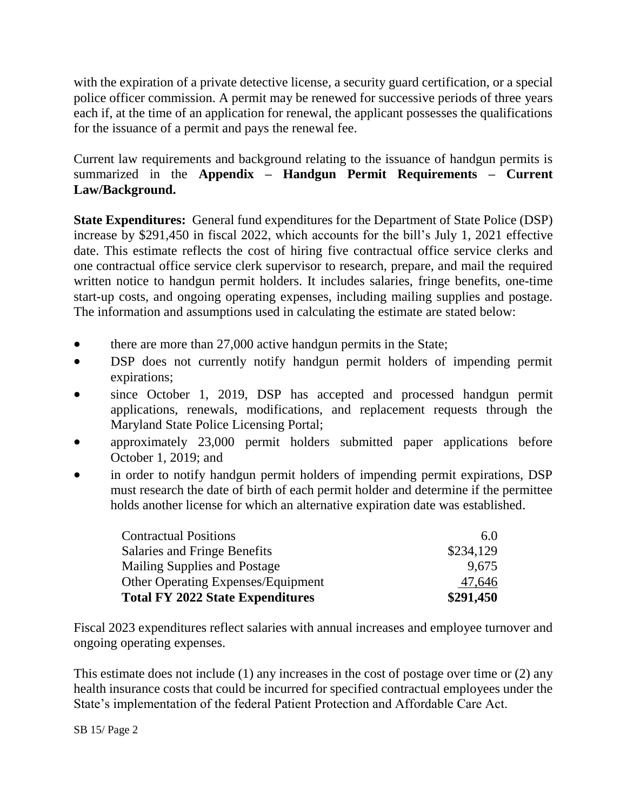with the expiration of a private detective license, a security guard certification, or a special police officer commission. A permit may be renewed for successive periods of three years each if, at the time of an application for renewal, the applicant possesses the qualifications for the issuance of a permit and pays the renewal fee.

Current law requirements and background relating to the issuance of handgun permits is summarized in the **Appendix – Handgun Permit Requirements – Current Law/Background.**

**State Expenditures:** General fund expenditures for the Department of State Police (DSP) increase by \$291,450 in fiscal 2022, which accounts for the bill's July 1, 2021 effective date. This estimate reflects the cost of hiring five contractual office service clerks and one contractual office service clerk supervisor to research, prepare, and mail the required written notice to handgun permit holders. It includes salaries, fringe benefits, one-time start-up costs, and ongoing operating expenses, including mailing supplies and postage. The information and assumptions used in calculating the estimate are stated below:

- there are more than 27,000 active handgun permits in the State;
- DSP does not currently notify handgun permit holders of impending permit expirations;
- since October 1, 2019, DSP has accepted and processed handgun permit applications, renewals, modifications, and replacement requests through the Maryland State Police Licensing Portal;
- approximately 23,000 permit holders submitted paper applications before October 1, 2019; and
- in order to notify handgun permit holders of impending permit expirations, DSP must research the date of birth of each permit holder and determine if the permittee holds another license for which an alternative expiration date was established.

| <b>Contractual Positions</b>              | 6.0       |
|-------------------------------------------|-----------|
| Salaries and Fringe Benefits              | \$234,129 |
| Mailing Supplies and Postage              | 9.675     |
| <b>Other Operating Expenses/Equipment</b> | 47,646    |
| <b>Total FY 2022 State Expenditures</b>   | \$291,450 |

Fiscal 2023 expenditures reflect salaries with annual increases and employee turnover and ongoing operating expenses.

This estimate does not include (1) any increases in the cost of postage over time or (2) any health insurance costs that could be incurred for specified contractual employees under the State's implementation of the federal Patient Protection and Affordable Care Act.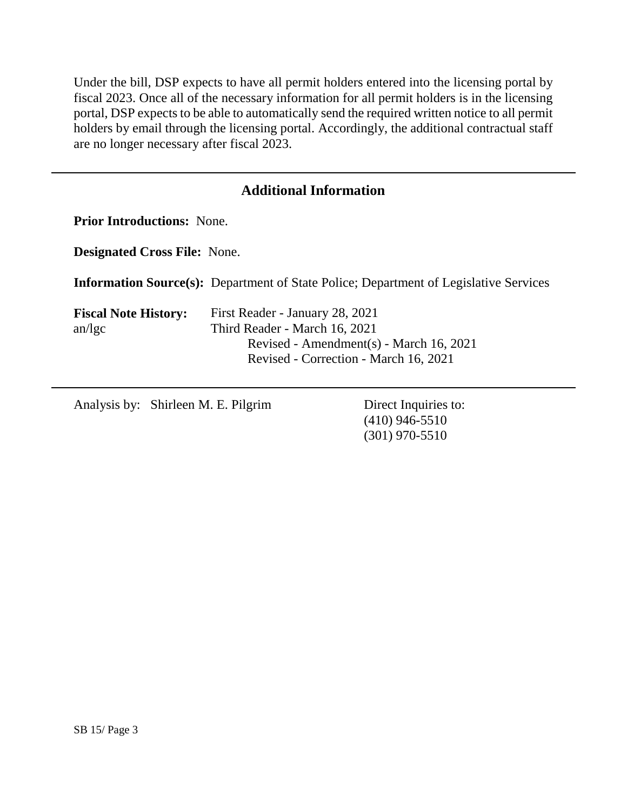Under the bill, DSP expects to have all permit holders entered into the licensing portal by fiscal 2023. Once all of the necessary information for all permit holders is in the licensing portal, DSP expects to be able to automatically send the required written notice to all permit holders by email through the licensing portal. Accordingly, the additional contractual staff are no longer necessary after fiscal 2023.

# **Additional Information**

**Prior Introductions:** None.

**Designated Cross File:** None.

**Information Source(s):** Department of State Police; Department of Legislative Services

| First Reader - January 28, 2021         |  |
|-----------------------------------------|--|
| Third Reader - March 16, 2021           |  |
| Revised - Amendment(s) - March 16, 2021 |  |
| Revised - Correction - March 16, 2021   |  |
|                                         |  |

Analysis by: Shirleen M. E. Pilgrim Direct Inquiries to:

(410) 946-5510 (301) 970-5510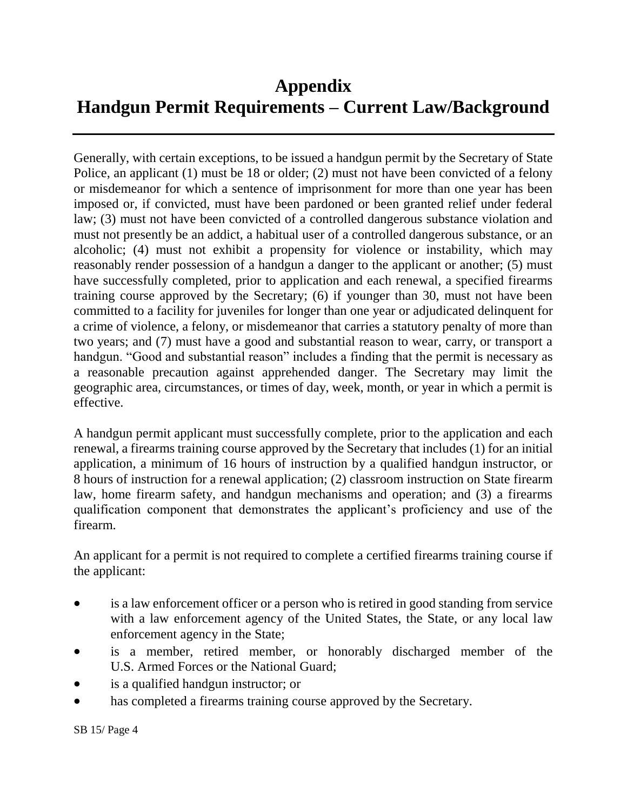# **Appendix Handgun Permit Requirements – Current Law/Background**

Generally, with certain exceptions, to be issued a handgun permit by the Secretary of State Police, an applicant (1) must be 18 or older; (2) must not have been convicted of a felony or misdemeanor for which a sentence of imprisonment for more than one year has been imposed or, if convicted, must have been pardoned or been granted relief under federal law; (3) must not have been convicted of a controlled dangerous substance violation and must not presently be an addict, a habitual user of a controlled dangerous substance, or an alcoholic; (4) must not exhibit a propensity for violence or instability, which may reasonably render possession of a handgun a danger to the applicant or another; (5) must have successfully completed, prior to application and each renewal, a specified firearms training course approved by the Secretary; (6) if younger than 30, must not have been committed to a facility for juveniles for longer than one year or adjudicated delinquent for a crime of violence, a felony, or misdemeanor that carries a statutory penalty of more than two years; and (7) must have a good and substantial reason to wear, carry, or transport a handgun. "Good and substantial reason" includes a finding that the permit is necessary as a reasonable precaution against apprehended danger. The Secretary may limit the geographic area, circumstances, or times of day, week, month, or year in which a permit is effective.

A handgun permit applicant must successfully complete, prior to the application and each renewal, a firearms training course approved by the Secretary that includes (1) for an initial application, a minimum of 16 hours of instruction by a qualified handgun instructor, or 8 hours of instruction for a renewal application; (2) classroom instruction on State firearm law, home firearm safety, and handgun mechanisms and operation; and (3) a firearms qualification component that demonstrates the applicant's proficiency and use of the firearm.

An applicant for a permit is not required to complete a certified firearms training course if the applicant:

- is a law enforcement officer or a person who is retired in good standing from service with a law enforcement agency of the United States, the State, or any local law enforcement agency in the State;
- is a member, retired member, or honorably discharged member of the U.S. Armed Forces or the National Guard;
- is a qualified handgun instructor; or
- has completed a firearms training course approved by the Secretary.

SB 15/ Page 4